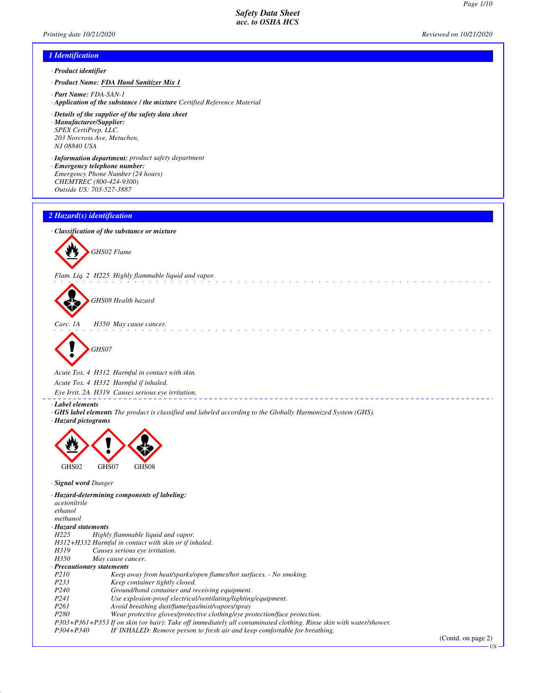*Page 1/10*

# *1 Identification*

- *· Product identifier*
- *· Product Name: FDA Hand Sanitizer Mix 1*
- *· Part Name: FDA-SAN-1*
- *· Application of the substance / the mixture Certified Reference Material*
- *· Details of the supplier of the safety data sheet · Manufacturer/Supplier: SPEX CertiPrep, LLC. 203 Norcross Ave, Metuchen, NJ 08840 USA*
- *· Information department: product safety department · Emergency telephone number: Emergency Phone Number (24 hours)*
- *CHEMTREC (800-424-9300) Outside US: 703-527-3887*
- *2 Hazard(s) identification*

*· Classification of the substance or mixture*



*Flam. Liq. 2 H225 Highly flammable liquid and vapor.*



*GHS08 Health hazard*

*Carc. 1A H350 May cause cancer.*



*Acute Tox. 4 H312 Harmful in contact with skin.*

*Acute Tox. 4 H332 Harmful if inhaled.*

*Eye Irrit. 2A H319 Causes serious eye irritation.*

- *· Label elements*
- *· GHS label elements The product is classified and labeled according to the Globally Harmonized System (GHS).*
- *· Hazard pictograms*



*· Signal word Danger*

*· Hazard-determining components of labeling:*

```
acetonitrile
```
*ethanol*

- *methanol*
- *· Hazard statements*
- *H225 Highly flammable liquid and vapor.*
- *H312+H332 Harmful in contact with skin or if inhaled.*
- *H319 Causes serious eye irritation.*
- *May cause cancer.*

*· Precautionary statements*

- *P210 Keep away from heat/sparks/open flames/hot surfaces. No smoking.*
- *Keep container tightly closed.*
- *P240 Ground/bond container and receiving equipment.*
- *<i>Use explosion-proof electrical/ventilating/lighting/equipment.*
- 
- *P261 Avoid breathing dust/fume/gas/mist/vapors/spray Wear protective gloves/protective clothing/eye protection/face protection.*
- *P303+P361+P353 If on skin (or hair): Take off immediately all contaminated clothing. Rinse skin with water/shower.*
	- *P444 IF INHALED: Remove person to fresh air and keep comfortable for breathing.*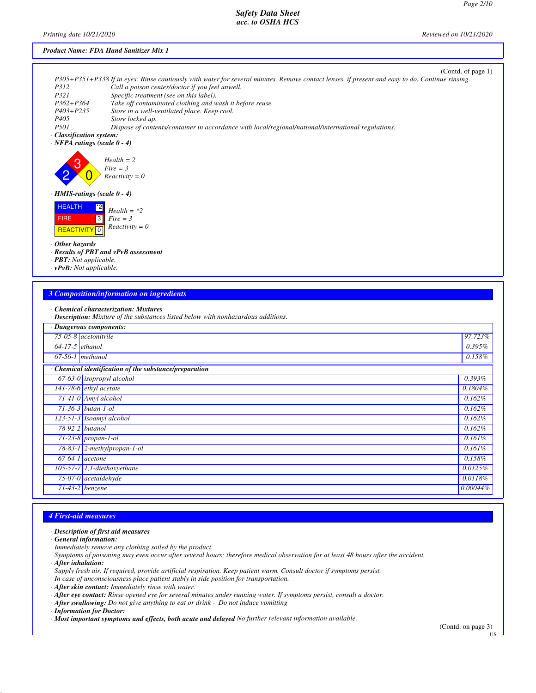#### *Printing date 10/21/2020 Reviewed on 10/21/2020*

# *Product Name: FDA Hand Sanitizer Mix 1*

|                           | (Contd. of page $1$ )                                                                                                                           |
|---------------------------|-------------------------------------------------------------------------------------------------------------------------------------------------|
|                           | P305+P351+P338 If in eyes: Rinse cautiously with water for several minutes. Remove contact lenses, if present and easy to do. Continue rinsing. |
| <i>P312</i>               | Call a poison center/doctor if you feel unwell.                                                                                                 |
| P321                      | Specific treatment (see on this label).                                                                                                         |
| $P362 + P364$             | Take off contaminated clothing and wash it before reuse.                                                                                        |
| $P403 + P235$             | Store in a well-ventilated place. Keep cool.                                                                                                    |
| P405                      | Store locked up.                                                                                                                                |
| <i>P501</i>               | Dispose of contents/container in accordance with local/regional/national/international regulations.                                             |
| . Classification system . |                                                                                                                                                 |

*· Classification system:*

# *· NFPA ratings (scale 0 - 4)*



| <b>HEALTH</b>           | †2∦ | $Health = *2$  |
|-------------------------|-----|----------------|
| <b>FIRE</b>             |     | $3$ Fire = 3   |
| REACTIVITY <sup>0</sup> |     | $Reactivity =$ |

#### *· Other hazards*

- *· Results of PBT and vPvB assessment*
- *· PBT: Not applicable.*
- *· vPvB: Not applicable.*

#### *3 Composition/information on ingredients*

#### *· Chemical characterization: Mixtures*

*· Description: Mixture of the substances listed below with nonhazardous additions.*

*Reactivity = 0*

|                    | · Dangerous components:                              |             |  |
|--------------------|------------------------------------------------------|-------------|--|
|                    | 75-05-8 acetonitrile                                 | 97.723%     |  |
| $64-17-5$ ethanol  |                                                      | 0.395%      |  |
| $67-56-1$ methanol |                                                      | 0.158%      |  |
|                    | Chemical identification of the substance/preparation |             |  |
|                    | $67-63-0$ isopropyl alcohol                          | 0.393%      |  |
|                    | 141-78-6 ethyl acetate                               | 0.1804%     |  |
|                    | 71-41-0 Amyl alcohol                                 | 0.162%      |  |
|                    | 71-36-3 butan-1-ol                                   | 0.162%      |  |
|                    | 123-51-3 Isoamyl alcohol                             | 0.162%      |  |
|                    | 78-92-2 butanol                                      | 0.162%      |  |
|                    | 71-23-8 propan-1-ol                                  | 0.161%      |  |
|                    | 78-83-1 2-methylpropan-1-ol                          | 0.161%      |  |
|                    | $\overline{67-64-1}$ acetone                         | 0.158%      |  |
|                    | 105-57-7 1,1-diethoxyethane                          | 0.0125%     |  |
|                    | 75-07-0 acetaldehyde                                 | 0.0118%     |  |
|                    | $71-43-2$ benzene                                    | $0.00044\%$ |  |

# *4 First-aid measures*

#### *· Description of first aid measures*

- *· General information:*
- *Immediately remove any clothing soiled by the product.*
- *Symptoms of poisoning may even occur after several hours; therefore medical observation for at least 48 hours after the accident.*
- *· After inhalation:*
- *Supply fresh air. If required, provide artificial respiration. Keep patient warm. Consult doctor if symptoms persist.*
- *In case of unconsciousness place patient stably in side position for transportation.*
- *· After skin contact: Immediately rinse with water.*
- *· After eye contact: Rinse opened eye for several minutes under running water. If symptoms persist, consult a doctor.*
- *· After swallowing: Do not give anything to eat or drink Do not induce vomitting*
- *· Information for Doctor:*
- *· Most important symptoms and effects, both acute and delayed No further relevant information available.*

(Contd. on page 3)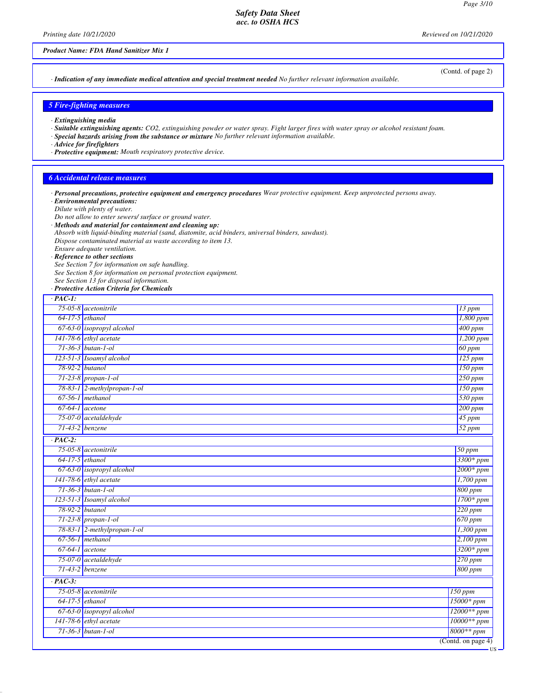*Printing date 10/21/2020 Reviewed on 10/21/2020*

# *Product Name: FDA Hand Sanitizer Mix 1*

*· Indication of any immediate medical attention and special treatment needed No further relevant information available.*

#### *5 Fire-fighting measures*

- *· Extinguishing media*
- *· Suitable extinguishing agents: CO2, extinguishing powder or water spray. Fight larger fires with water spray or alcohol resistant foam.*
- *· Special hazards arising from the substance or mixture No further relevant information available.*
- *· Advice for firefighters*
- *· Protective equipment: Mouth respiratory protective device.*

# *6 Accidental release measures*

- *· Personal precautions, protective equipment and emergency procedures Wear protective equipment. Keep unprotected persons away. · Environmental precautions: Dilute with plenty of water. Do not allow to enter sewers/ surface or ground water.*
- *· Methods and material for containment and cleaning up:*
- *Absorb with liquid-binding material (sand, diatomite, acid binders, universal binders, sawdust).*
- *Dispose contaminated material as waste according to item 13.*
- *Ensure adequate ventilation.*
- *· Reference to other sections*
- *See Section 7 for information on safe handling. See Section 8 for information on personal protection equipment.*
- *See Section 13 for disposal information.*
- *· Protective Action Criteria for Chemicals*

#### *· PAC-1:*

| · PAC-1:          |                                  |                                        |  |  |
|-------------------|----------------------------------|----------------------------------------|--|--|
|                   | $75-05-8$ <i>acetonitrile</i>    | $13$ ppm                               |  |  |
| $64-17-5$ ethanol |                                  | $1,800$ ppm                            |  |  |
|                   | 67-63-0 <i>isopropyl alcohol</i> | $400$ ppm                              |  |  |
|                   | 141-78-6 ethyl acetate           | $1,200$ ppm                            |  |  |
|                   | 71-36-3 butan-1-ol               | 60 ppm                                 |  |  |
|                   | 123-51-3 Isoamyl alcohol         | $125$ ppm                              |  |  |
| 78-92-2 butanol   |                                  | $150$ ppm                              |  |  |
|                   | 71-23-8 propan-1-ol              | $250$ ppm                              |  |  |
|                   | 78-83-1 2-methylpropan-1-ol      | $150$ ppm                              |  |  |
|                   | $67-56-1$ methanol               | 530 ppm                                |  |  |
| $67-64-1$ acetone |                                  | $200$ ppm                              |  |  |
|                   | 75-07-0 acetaldehyde             | 45 ppm                                 |  |  |
| 71-43-2 benzene   |                                  | $52$ ppm                               |  |  |
| $\cdot$ PAC-2:    |                                  |                                        |  |  |
|                   | 75-05-8 acetonitrile             | $50$ ppm                               |  |  |
| $64-17-5$ ethanol |                                  | $3300*ppm$                             |  |  |
|                   | 67-63-0 isopropyl alcohol        | $2000*ppm$                             |  |  |
|                   | 141-78-6 ethyl acetate           | 1,700 ppm                              |  |  |
|                   | 71-36-3 butan-1-ol               | 800 ppm                                |  |  |
|                   | 123-51-3 Isoamyl alcohol         | $1700*ppm$                             |  |  |
| 78-92-2 butanol   |                                  | $220$ ppm                              |  |  |
|                   | 71-23-8 propan-1-ol              | 670 ppm                                |  |  |
|                   | 78-83-1 2-methylpropan-1-ol      | 1,300 ppm                              |  |  |
|                   | $67-56-1$ methanol               | $2,100$ ppm                            |  |  |
| $67-64-1$ acetone |                                  | $3200*ppm$                             |  |  |
|                   | 75-07-0 acetaldehyde             | $270$ ppm                              |  |  |
| $71-43-2$ benzene |                                  | 800 ppm                                |  |  |
| $\cdot$ PAC-3:    |                                  |                                        |  |  |
|                   | 75-05-8 acetonitrile             | $150$ ppm                              |  |  |
| $64-17-5$ ethanol |                                  | $15000*ppm$                            |  |  |
|                   | 67-63-0 isopropyl alcohol        | $12000**$ ppm                          |  |  |
|                   | 141-78-6 ethyl acetate           | $10000**$ ppm                          |  |  |
|                   | $71 - 36 - 3$ butan-1-ol         | 8000 <sup>**</sup> ppm                 |  |  |
|                   |                                  | $\overline{(\text{Contd. on page 4})}$ |  |  |
|                   |                                  |                                        |  |  |

(Contd. of page 2)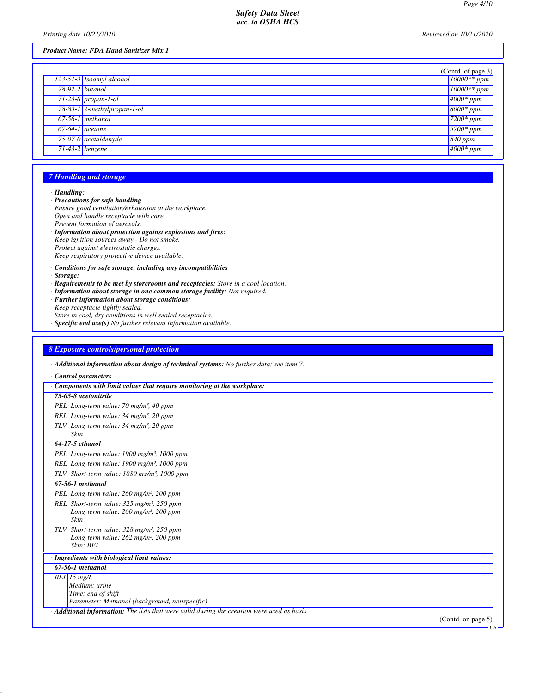US

# *Product Name: FDA Hand Sanitizer Mix 1*

|                        |                               | (Contd. of page 3) |
|------------------------|-------------------------------|--------------------|
|                        | $123-51-3$ Isoamyl alcohol    | $10000**$ ppm      |
| 78-92-2 <i>butanol</i> |                               | $10000**$ ppm      |
|                        | $71-23-8$ propan-1-ol         | $4000*ppm$         |
|                        | $78-83-1$ 2-methylpropan-1-ol | $8000*ppm$         |
|                        | $67-56-1$ methanol            | $7200*ppm$         |
| $67-64-1$ acetone      |                               | $5700*ppm$         |
|                        | 75-07-0 acetaldehyde          | $840$ ppm          |
|                        | $71-43-2$ benzene             | $4000*ppm$         |
|                        |                               |                    |

# *7 Handling and storage*

# *· Handling:*

- *· Precautions for safe handling*
- *Ensure good ventilation/exhaustion at the workplace. Open and handle receptacle with care.*
- *Prevent formation of aerosols.*
- *· Information about protection against explosions and fires: Keep ignition sources away - Do not smoke.*
- *Protect against electrostatic charges. Keep respiratory protective device available.*
- 
- *· Conditions for safe storage, including any incompatibilities*
- *· Storage:*
- *· Requirements to be met by storerooms and receptacles: Store in a cool location.*
- *· Information about storage in one common storage facility: Not required.*
- *· Further information about storage conditions:*
- *Keep receptacle tightly sealed.*
- *Store in cool, dry conditions in well sealed receptacles.*
- *· Specific end use(s) No further relevant information available.*

# *8 Exposure controls/personal protection*

*· Additional information about design of technical systems: No further data; see item 7.*

#### *· Control parameters*

| Components with limit values that require monitoring at the workplace:                                             |  |  |
|--------------------------------------------------------------------------------------------------------------------|--|--|
| 75-05-8 acetonitrile                                                                                               |  |  |
| PEL Long-term value: $70 \text{ mg/m}^3$ , 40 ppm                                                                  |  |  |
| REL Long-term value: $34 \text{ mg/m}^3$ , $20 \text{ ppm}$                                                        |  |  |
| TLV Long-term value: $34 \text{ mg/m}^3$ , $20 \text{ ppm}$                                                        |  |  |
| Skin                                                                                                               |  |  |
| 64-17-5 ethanol                                                                                                    |  |  |
| PEL Long-term value: $1900$ mg/m <sup>3</sup> , $1000$ ppm                                                         |  |  |
| REL Long-term value: $1900$ mg/m <sup>3</sup> , $1000$ ppm                                                         |  |  |
| TLV Short-term value: $1880$ mg/m <sup>3</sup> , 1000 ppm                                                          |  |  |
| 67-56-1 methanol                                                                                                   |  |  |
| PEL Long-term value: 260 mg/m <sup>3</sup> , 200 ppm                                                               |  |  |
| REL Short-term value: $325$ mg/m <sup>3</sup> , $250$ ppm                                                          |  |  |
| Long-term value: 260 mg/m <sup>3</sup> , 200 ppm                                                                   |  |  |
| Skin                                                                                                               |  |  |
| TLV Short-term value: $328 \text{ mg/m}^3$ , $250 \text{ ppm}$<br>Long-term value: 262 mg/m <sup>3</sup> , 200 ppm |  |  |
| Skin; BEI                                                                                                          |  |  |
|                                                                                                                    |  |  |
| · Ingredients with biological limit values:                                                                        |  |  |
| 67-56-1 methanol                                                                                                   |  |  |
| $BEI$ 15 mg/L<br>Medium: urine                                                                                     |  |  |
| Time: end of shift                                                                                                 |  |  |
| Parameter: Methanol (background, nonspecific)                                                                      |  |  |
| $\cdot$ <b>Additional information:</b> The lists that were valid during the creation were used as basis.           |  |  |
| (Contd. on page $5$ )                                                                                              |  |  |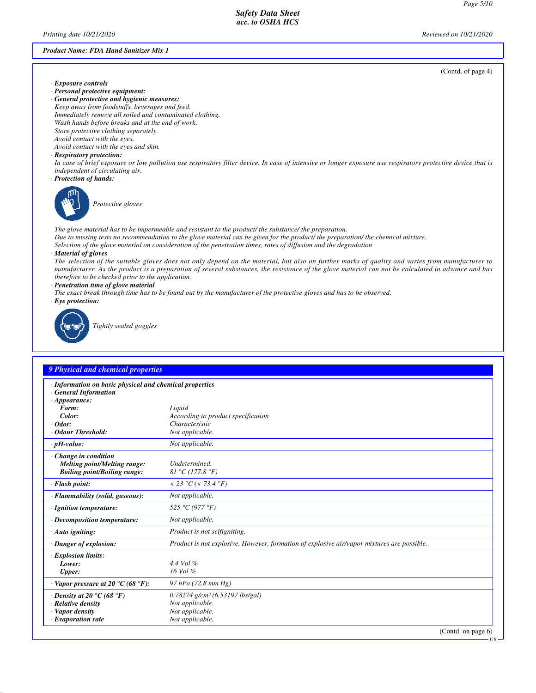*Printing date 10/21/2020 Reviewed on 10/21/2020*

## *Product Name: FDA Hand Sanitizer Mix 1*

*· Exposure controls*

- *· Personal protective equipment:*
- *· General protective and hygienic measures:*
- *Keep away from foodstuffs, beverages and feed.*
- *Immediately remove all soiled and contaminated clothing. Wash hands before breaks and at the end of work.*
- *Store protective clothing separately.*
- *Avoid contact with the eyes.*
- *Avoid contact with the eyes and skin.*
- *· Respiratory protection:*

*In case of brief exposure or low pollution use respiratory filter device. In case of intensive or longer exposure use respiratory protective device that is independent of circulating air.*

*· Protection of hands:*



*Protective gloves*

*The glove material has to be impermeable and resistant to the product/ the substance/ the preparation.*

*Due to missing tests no recommendation to the glove material can be given for the product/ the preparation/ the chemical mixture.*

*Selection of the glove material on consideration of the penetration times, rates of diffusion and the degradation*

#### *· Material of gloves*

*The selection of the suitable gloves does not only depend on the material, but also on further marks of quality and varies from manufacturer to manufacturer. As the product is a preparation of several substances, the resistance of the glove material can not be calculated in advance and has therefore to be checked prior to the application.*

- *· Penetration time of glove material*
- *The exact break through time has to be found out by the manufacturer of the protective gloves and has to be observed.*
- *· Eye protection:*



*Tightly sealed goggles*

| 9 Physical and chemical properties                                                                                            |                                                                                                        |                    |  |
|-------------------------------------------------------------------------------------------------------------------------------|--------------------------------------------------------------------------------------------------------|--------------------|--|
| · Information on basic physical and chemical properties<br><b>General Information</b><br>$\cdot$ Appearance:                  |                                                                                                        |                    |  |
| Form:                                                                                                                         | Liquid                                                                                                 |                    |  |
| Color:                                                                                                                        | According to product specification<br>Characteristic                                                   |                    |  |
| $\cdot$ Odor:<br>· Odour Threshold:                                                                                           | Not applicable.                                                                                        |                    |  |
|                                                                                                                               |                                                                                                        |                    |  |
| $\cdot$ pH-value:                                                                                                             | Not applicable.                                                                                        |                    |  |
| $\cdot$ Change in condition<br>Melting point/Melting range:<br><b>Boiling point/Boiling range:</b>                            | Undetermined.<br>81 °C (177.8 °F)                                                                      |                    |  |
| $\cdot$ Flash point:                                                                                                          | $\leq$ 23 °C ( $\leq$ 73.4 °F)                                                                         |                    |  |
| · Flammability (solid, gaseous):                                                                                              | Not applicable.                                                                                        |                    |  |
| · Ignition temperature:                                                                                                       | 525 °C (977 °F)                                                                                        |                    |  |
| $\cdot$ Decomposition temperature:                                                                                            | Not applicable.                                                                                        |                    |  |
| $\cdot$ Auto igniting:                                                                                                        | Product is not selfigniting.                                                                           |                    |  |
| $\cdot$ Danger of explosion:                                                                                                  | Product is not explosive. However, formation of explosive air/vapor mixtures are possible.             |                    |  |
| <b>Explosion limits:</b><br>Lower:<br>Upper:                                                                                  | $4.4$ Vol $%$<br>16 Vol %                                                                              |                    |  |
| $\cdot$ Vapor pressure at 20 $\rm{^{\circ}C}$ (68 $\rm{^{\circ}F}$ ):                                                         | $97$ hPa (72.8 mm Hg)                                                                                  |                    |  |
| $\cdot$ Density at 20 $\degree$ C (68 $\degree$ F)<br>$\cdot$ Relative density<br>· Vapor density<br>$\cdot$ Evaporation rate | $0.78274$ g/cm <sup>3</sup> (6.53197 lbs/gal)<br>Not applicable.<br>Not applicable.<br>Not applicable. | (Contd. on page 6) |  |
|                                                                                                                               |                                                                                                        |                    |  |

(Contd. of page 4)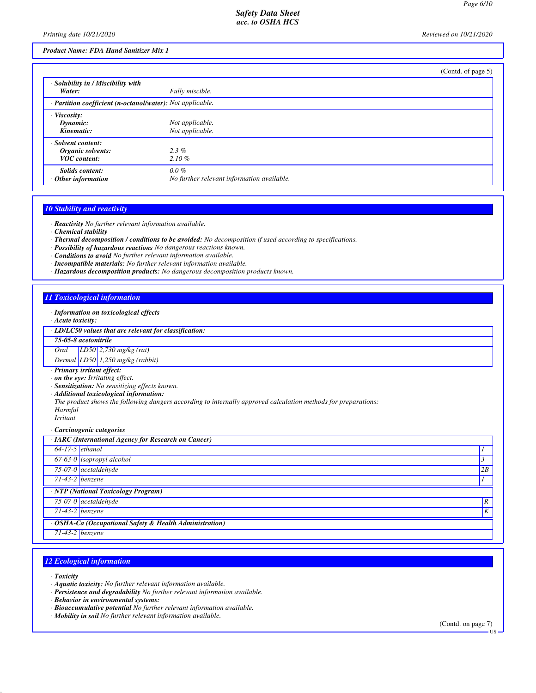*Printing date 10/21/2020 Reviewed on 10/21/2020*

#### *Product Name: FDA Hand Sanitizer Mix 1*

|                                                                |                                                       | (Contd. of page $5$ ) |
|----------------------------------------------------------------|-------------------------------------------------------|-----------------------|
| · Solubility in / Miscibility with<br>Water:                   | Fully miscible.                                       |                       |
| · Partition coefficient (n-octanol/water): Not applicable.     |                                                       |                       |
| <i>Viscosity:</i><br>Dynamic:<br>Kinematic:                    | Not applicable.<br>Not applicable.                    |                       |
| · Solvent content:<br>Organic solvents:<br><b>VOC</b> content: | $2.3\%$<br>$2.10 \%$                                  |                       |
| <b>Solids content:</b><br>Other information                    | $0.0\%$<br>No further relevant information available. |                       |

#### *10 Stability and reactivity*

*· Reactivity No further relevant information available.*

- *· Chemical stability*
- *· Thermal decomposition / conditions to be avoided: No decomposition if used according to specifications.*
- *· Possibility of hazardous reactions No dangerous reactions known.*
- *· Conditions to avoid No further relevant information available.*
- *· Incompatible materials: No further relevant information available.*
- *· Hazardous decomposition products: No dangerous decomposition products known.*

#### *11 Toxicological information*

- *· Information on toxicological effects*
- *· Acute toxicity:*

*· LD/LC50 values that are relevant for classification:*

*75-05-8 acetonitrile*

*Oral LD50 2,730 mg/kg (rat)*

*Dermal LD50 1,250 mg/kg (rabbit)*

- *· Primary irritant effect:*
- *· on the eye: Irritating effect.*
- *· Sensitization: No sensitizing effects known.*
- *· Additional toxicological information:*
- *The product shows the following dangers according to internally approved calculation methods for preparations: Harmful*
- *Irritant*
- *· Carcinogenic categories*

| $\overline{\cdot IARC}$ (International Agency for Research on Cancer) |                                                         |    |  |
|-----------------------------------------------------------------------|---------------------------------------------------------|----|--|
|                                                                       | $64-17-5$ ethanol                                       |    |  |
|                                                                       | 67-63-0 <i>isopropyl alcohol</i>                        |    |  |
|                                                                       | 75-07-0 acetaldehyde                                    | 2B |  |
|                                                                       | $71-43-2$ benzene                                       |    |  |
|                                                                       | $\overline{NTP}$ (National Toxicology Program)          |    |  |
|                                                                       | 75-07-0 acetaldehyde                                    | R  |  |
|                                                                       | $71-43-2$ benzene                                       | K  |  |
|                                                                       | · OSHA-Ca (Occupational Safety & Health Administration) |    |  |
|                                                                       | $71-43-2$ benzene                                       |    |  |

#### *12 Ecological information*

- *· Toxicity*
- *· Aquatic toxicity: No further relevant information available.*
- *· Persistence and degradability No further relevant information available.*
- *· Behavior in environmental systems:*
- *· Bioaccumulative potential No further relevant information available.*
- *· Mobility in soil No further relevant information available.*

(Contd. on page 7)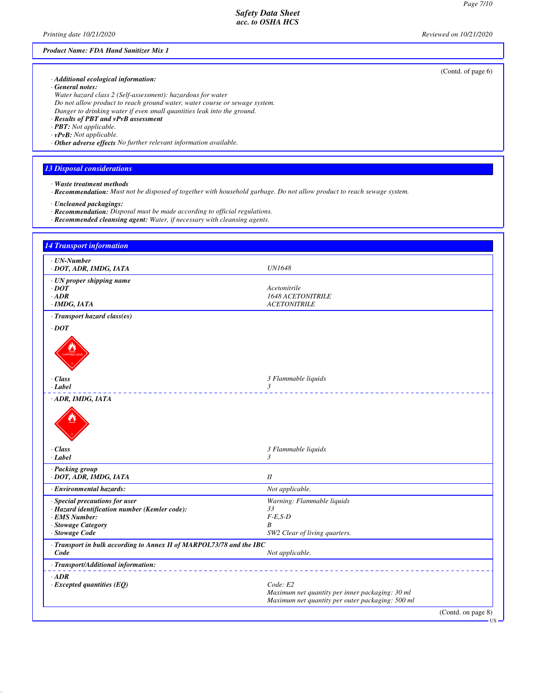US

*Safety Data Sheet acc. to OSHA HCS*

*Printing date 10/21/2020 Reviewed on 10/21/2020*

# *Product Name: FDA Hand Sanitizer Mix 1*

- *· Additional ecological information:*
- *· General notes:*
- *Water hazard class 2 (Self-assessment): hazardous for water*
- *Do not allow product to reach ground water, water course or sewage system.*
- *Danger to drinking water if even small quantities leak into the ground.*
- *· Results of PBT and vPvB assessment*
- *· PBT: Not applicable.*
- *· vPvB: Not applicable.*
- *· Other adverse effects No further relevant information available.*

### *13 Disposal considerations*

- *· Waste treatment methods*
- *· Recommendation: Must not be disposed of together with household garbage. Do not allow product to reach sewage system.*

*· Uncleaned packagings:*

- *· Recommendation: Disposal must be made according to official regulations.*
- *· Recommended cleansing agent: Water, if necessary with cleansing agents.*

| <b>14 Transport information</b>                                                                                                          |                                                                                                                 |
|------------------------------------------------------------------------------------------------------------------------------------------|-----------------------------------------------------------------------------------------------------------------|
| $\cdot$ UN-Number<br>· DOT, ADR, IMDG, IATA                                                                                              | <b>UN1648</b>                                                                                                   |
| $\cdot$ UN proper shipping name<br>$\cdot$ DOT<br>$\cdot$ ADR<br>$\cdot$ IMDG, IATA                                                      | Acetonitrile<br><b>1648 ACETONITRILE</b><br><b>ACETONITRILE</b>                                                 |
| · Transport hazard class(es)<br>$\cdot$ DOT                                                                                              |                                                                                                                 |
| $\cdot$ Class<br>$-Label$                                                                                                                | 3 Flammable liquids<br>$\mathfrak{Z}$<br>_ _ _ _ _ _ _ _ _ _ _ _ _ _                                            |
| · ADR, IMDG, IATA<br>$\cdot$ Class                                                                                                       | 3 Flammable liquids                                                                                             |
| $-Label$                                                                                                                                 | 3                                                                                                               |
| · Packing group<br>· DOT, ADR, IMDG, IATA                                                                                                | $_{II}$                                                                                                         |
| · Environmental hazards:                                                                                                                 | Not applicable.                                                                                                 |
| · Special precautions for user<br>· Hazard identification number (Kemler code):<br>· EMS Number:<br>· Stowage Category<br>· Stowage Code | Warning: Flammable liquids<br>33<br>$F-E,S-D$<br>B<br>SW2 Clear of living quarters.                             |
| · Transport in bulk according to Annex II of MARPOL73/78 and the IBC<br>Code                                                             | Not applicable.                                                                                                 |
| · Transport/Additional information:                                                                                                      |                                                                                                                 |
| $\cdot$ ADR<br>$\cdot$ Excepted quantities (EQ)                                                                                          | Code: E2<br>Maximum net quantity per inner packaging: 30 ml<br>Maximum net quantity per outer packaging: 500 ml |
|                                                                                                                                          | (Contd. on page 8)                                                                                              |

(Contd. of page 6)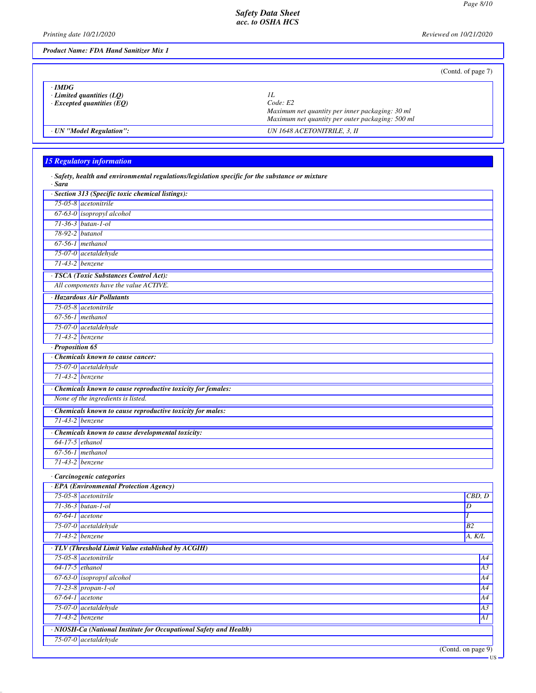*Printing date 10/21/2020 Reviewed on 10/21/2020*

# *Product Name: FDA Hand Sanitizer Mix 1*

(Contd. of page 7)

| $\cdot$ IMDG<br>$\cdot$ Limited quantities (LO)<br>$\cdot$ Excepted quantities (EO) | Code: E2<br>Maximum net quantity per inner packaging: 30 ml<br>Maximum net quantity per outer packaging: 500 ml |
|-------------------------------------------------------------------------------------|-----------------------------------------------------------------------------------------------------------------|
| · UN "Model Regulation":                                                            | UN 1648 ACETONITRILE, 3, II                                                                                     |

# *15 Regulatory information*

| · Safety, health and environmental regulations/legislation specific for the substance or mixture<br>· Sara |                                                                    |                    |  |
|------------------------------------------------------------------------------------------------------------|--------------------------------------------------------------------|--------------------|--|
|                                                                                                            | · Section 313 (Specific toxic chemical listings):                  |                    |  |
|                                                                                                            | 75-05-8 acetonitrile                                               |                    |  |
|                                                                                                            | 67-63-0 isopropyl alcohol                                          |                    |  |
|                                                                                                            | 71-36-3 butan-1-ol                                                 |                    |  |
| 78-92-2 <i>butanol</i>                                                                                     |                                                                    |                    |  |
|                                                                                                            | $67-56-1$ methanol                                                 |                    |  |
|                                                                                                            | 75-07-0 acetaldehyde                                               |                    |  |
|                                                                                                            | 71-43-2 benzene                                                    |                    |  |
|                                                                                                            | · TSCA (Toxic Substances Control Act):                             |                    |  |
|                                                                                                            | All components have the value ACTIVE.                              |                    |  |
|                                                                                                            | · Hazardous Air Pollutants                                         |                    |  |
|                                                                                                            | 75-05-8 acetonitrile                                               |                    |  |
|                                                                                                            | $67-56-1$ methanol                                                 |                    |  |
|                                                                                                            | 75-07-0 acetaldehyde                                               |                    |  |
|                                                                                                            | 71-43-2 benzene                                                    |                    |  |
| · Proposition 65                                                                                           |                                                                    |                    |  |
|                                                                                                            | · Chemicals known to cause cancer:                                 |                    |  |
|                                                                                                            | 75-07-0 acetaldehyde                                               |                    |  |
| $71-43-2$ benzene                                                                                          |                                                                    |                    |  |
|                                                                                                            | · Chemicals known to cause reproductive toxicity for females:      |                    |  |
|                                                                                                            | None of the ingredients is listed.                                 |                    |  |
|                                                                                                            | · Chemicals known to cause reproductive toxicity for males:        |                    |  |
|                                                                                                            | 71-43-2 benzene                                                    |                    |  |
|                                                                                                            | · Chemicals known to cause developmental toxicity:                 |                    |  |
| $64-17-5$ ethanol                                                                                          |                                                                    |                    |  |
|                                                                                                            | $67-56-1$ methanol                                                 |                    |  |
|                                                                                                            | $71-43-2$ benzene                                                  |                    |  |
|                                                                                                            | · Carcinogenic categories                                          |                    |  |
|                                                                                                            | · EPA (Environmental Protection Agency)                            |                    |  |
|                                                                                                            | 75-05-8 acetonitrile                                               | CBD, D             |  |
|                                                                                                            | 71-36-3 butan-1-ol                                                 | D                  |  |
| $67-64-1$ acetone                                                                                          |                                                                    | I                  |  |
|                                                                                                            | 75-07-0 acetaldehyde                                               | B <sub>2</sub>     |  |
| 71-43-2 benzene                                                                                            |                                                                    | A, K/L             |  |
|                                                                                                            | · TLV (Threshold Limit Value established by ACGIH)                 |                    |  |
|                                                                                                            | 75-05-8 acetonitrile                                               | A4                 |  |
| $64-17-5$ ethanol                                                                                          |                                                                    | A3                 |  |
|                                                                                                            | 67-63-0 isopropyl alcohol                                          | A4                 |  |
|                                                                                                            | 71-23-8 propan-1-ol                                                | A4                 |  |
| $67-64-1$ acetone                                                                                          |                                                                    | A4                 |  |
|                                                                                                            | 75-07-0 acetaldehyde                                               | $\overline{A3}$    |  |
|                                                                                                            | 71-43-2 benzene                                                    | AI                 |  |
|                                                                                                            | · NIOSH-Ca (National Institute for Occupational Safety and Health) |                    |  |
|                                                                                                            | 75-07-0 acetaldehyde                                               |                    |  |
|                                                                                                            |                                                                    | (Contd. on page 9) |  |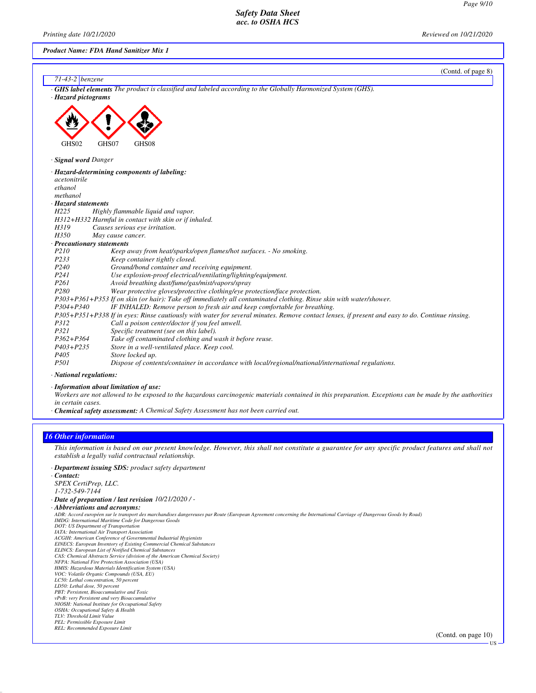### *Product Name: FDA Hand Sanitizer Mix 1*

|                            | (Contd. of page 8)                                                                                                                              |
|----------------------------|-------------------------------------------------------------------------------------------------------------------------------------------------|
| $71-43-2$ benzene          |                                                                                                                                                 |
|                            | <b>GHS label elements</b> The product is classified and labeled according to the Globally Harmonized System (GHS).                              |
| · Hazard pictograms        |                                                                                                                                                 |
|                            |                                                                                                                                                 |
|                            |                                                                                                                                                 |
|                            |                                                                                                                                                 |
|                            |                                                                                                                                                 |
| GHS02                      | GHS07<br>GHS08                                                                                                                                  |
|                            |                                                                                                                                                 |
| · Signal word Danger       |                                                                                                                                                 |
|                            | · Hazard-determining components of labeling:                                                                                                    |
| acetonitrile               |                                                                                                                                                 |
| ethanol                    |                                                                                                                                                 |
| methanol                   |                                                                                                                                                 |
| · Hazard statements        |                                                                                                                                                 |
| H <sub>225</sub>           | Highly flammable liquid and vapor.                                                                                                              |
|                            | H312+H332 Harmful in contact with skin or if inhaled.                                                                                           |
| H319                       | Causes serious eye irritation.                                                                                                                  |
| H350                       | May cause cancer.                                                                                                                               |
| · Precautionary statements |                                                                                                                                                 |
| P210                       | Keep away from heat/sparks/open flames/hot surfaces. - No smoking.                                                                              |
| P233                       | Keep container tightly closed.                                                                                                                  |
| P <sub>240</sub>           | Ground/bond container and receiving equipment.                                                                                                  |
| P241                       | Use explosion-proof electrical/ventilating/lighting/equipment.                                                                                  |
| P <sub>261</sub>           | Avoid breathing dust/fume/gas/mist/vapors/spray                                                                                                 |
| P <sub>280</sub>           | Wear protective gloves/protective clothing/eye protection/face protection.                                                                      |
|                            | P303+P361+P353 If on skin (or hair): Take off immediately all contaminated clothing. Rinse skin with water/shower.                              |
| $P304 + P340$              | IF INHALED: Remove person to fresh air and keep comfortable for breathing.                                                                      |
|                            | P305+P351+P338 If in eyes: Rinse cautiously with water for several minutes. Remove contact lenses, if present and easy to do. Continue rinsing. |
| P312                       | Call a poison center/doctor if you feel unwell.                                                                                                 |
| P321                       | Specific treatment (see on this label).                                                                                                         |
| $P362 + P364$              | Take off contaminated clothing and wash it before reuse.                                                                                        |
| $P403 + P235$              | Store in a well-ventilated place. Keep cool.                                                                                                    |
| P <sub>405</sub>           | Store locked up.                                                                                                                                |
| P501                       | Dispose of contents/container in accordance with local/regional/national/international regulations.                                             |
| · National regulations:    |                                                                                                                                                 |
|                            |                                                                                                                                                 |

*· Information about limitation of use:*

*Workers are not allowed to be exposed to the hazardous carcinogenic materials contained in this preparation. Exceptions can be made by the authorities in certain cases.*

*· Chemical safety assessment: A Chemical Safety Assessment has not been carried out.*

# *16 Other information*

*This information is based on our present knowledge. However, this shall not constitute a guarantee for any specific product features and shall not establish a legally valid contractual relationship.*

- *· Department issuing SDS: product safety department*
- *· Contact:*
- *SPEX CertiPrep, LLC.*
- *1-732-549-7144*
- *· Date of preparation / last revision 10/21/2020 / -*
- *· Abbreviations and acronyms:*

*ADR: Accord européen sur le transport des marchandises dangereuses par Route (European Agreement concerning the International Carriage of Dangerous Goods by Road) IMDG: International Maritime Code for Dangerous Goods*

- *DOT: US Department of Transportation*
- *IATA: International Air Transport Association ACGIH: American Conference of Governmental Industrial Hygienists*
- 
- *EINECS: European Inventory of Existing Commercial Chemical Substances ELINCS: European List of Notified Chemical Substances*
- *CAS: Chemical Abstracts Service (division of the American Chemical Society) NFPA: National Fire Protection Association (USA)*
- *HMIS: Hazardous Materials Identification System (USA)*
- 
- *VOC: Volatile Organic Compounds (USA, EU) LC50: Lethal concentration, 50 percent*
- *LD50: Lethal dose, 50 percent PBT: Persistent, Bioaccumulative and Toxic*
- *vPvB: very Persistent and very Bioaccumulative*
- *NIOSH: National Institute for Occupational Safety OSHA: Occupational Safety & Health*
- 
- *TLV: Threshold Limit Value PEL: Permissible Exposure Limit*
- *REL: Recommended Exposure Limit*

(Contd. on page 10) US